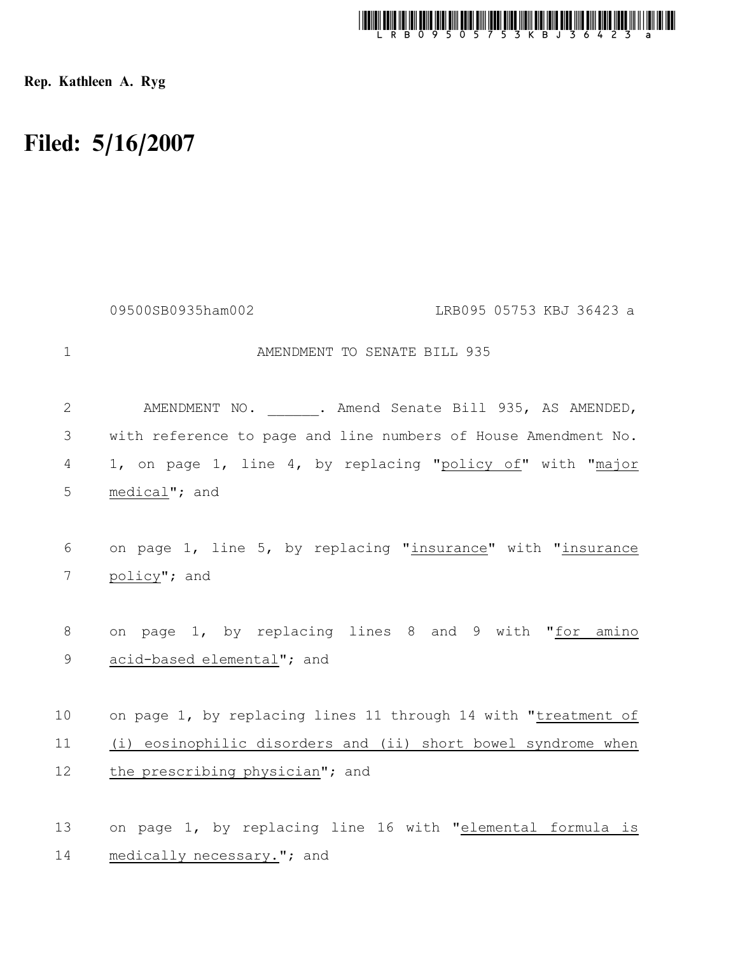

Rep. Kathleen A. Ryg

## Filed: 5/16/2007

|                | 09500SB0935ham002<br>LRB095 05753 KBJ 36423 a                  |
|----------------|----------------------------------------------------------------|
| $\mathbf 1$    | AMENDMENT TO SENATE BILL 935                                   |
| $\mathbf{2}$   | AMENDMENT NO. . Amend Senate Bill 935, AS AMENDED,             |
| 3              | with reference to page and line numbers of House Amendment No. |
| $\overline{4}$ | 1, on page 1, line 4, by replacing "policy of" with "major     |
| 5              | medical"; and                                                  |
|                |                                                                |
| 6              | on page 1, line 5, by replacing "insurance" with "insurance    |
| 7              | policy"; and                                                   |
|                |                                                                |
| 8              | on page 1, by replacing lines 8 and 9 with "for amino          |
| $\mathsf 9$    | acid-based elemental"; and                                     |
|                |                                                                |
| 10             | on page 1, by replacing lines 11 through 14 with "treatment of |
| 11             | (i) eosinophilic disorders and (ii) short bowel syndrome when  |
| 12             | the prescribing physician"; and                                |
|                |                                                                |
| 13             | on page 1, by replacing line 16 with "elemental formula is     |

medically necessary."; and 14